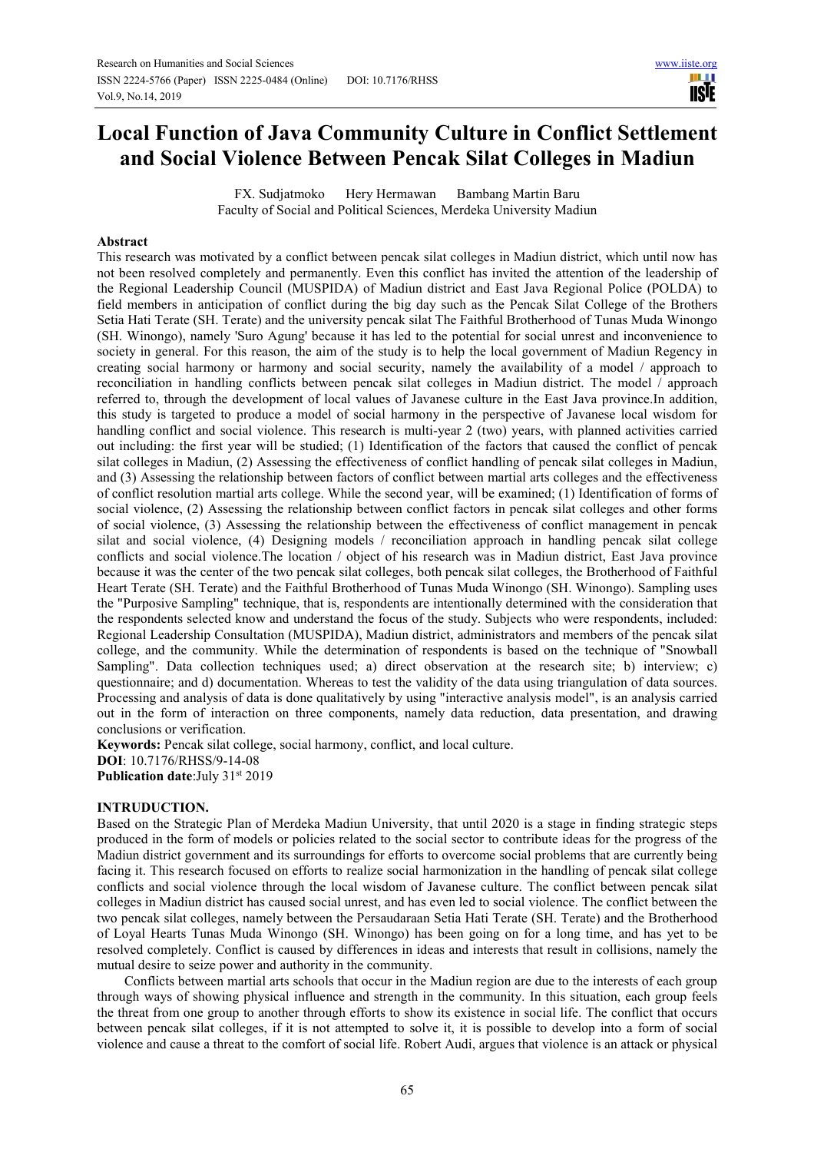# **Local Function of Java Community Culture in Conflict Settlement and Social Violence Between Pencak Silat Colleges in Madiun**

FX. Sudjatmoko Hery Hermawan Bambang Martin Baru Faculty of Social and Political Sciences, Merdeka University Madiun

#### **Abstract**

This research was motivated by a conflict between pencak silat colleges in Madiun district, which until now has not been resolved completely and permanently. Even this conflict has invited the attention of the leadership of the Regional Leadership Council (MUSPIDA) of Madiun district and East Java Regional Police (POLDA) to field members in anticipation of conflict during the big day such as the Pencak Silat College of the Brothers Setia Hati Terate (SH. Terate) and the university pencak silat The Faithful Brotherhood of Tunas Muda Winongo (SH. Winongo), namely 'Suro Agung' because it has led to the potential for social unrest and inconvenience to society in general. For this reason, the aim of the study is to help the local government of Madiun Regency in creating social harmony or harmony and social security, namely the availability of a model / approach to reconciliation in handling conflicts between pencak silat colleges in Madiun district. The model / approach referred to, through the development of local values of Javanese culture in the East Java province.In addition, this study is targeted to produce a model of social harmony in the perspective of Javanese local wisdom for handling conflict and social violence. This research is multi-year 2 (two) years, with planned activities carried out including: the first year will be studied; (1) Identification of the factors that caused the conflict of pencak silat colleges in Madiun, (2) Assessing the effectiveness of conflict handling of pencak silat colleges in Madiun, and (3) Assessing the relationship between factors of conflict between martial arts colleges and the effectiveness of conflict resolution martial arts college. While the second year, will be examined; (1) Identification of forms of social violence, (2) Assessing the relationship between conflict factors in pencak silat colleges and other forms of social violence, (3) Assessing the relationship between the effectiveness of conflict management in pencak silat and social violence, (4) Designing models / reconciliation approach in handling pencak silat college conflicts and social violence.The location / object of his research was in Madiun district, East Java province because it was the center of the two pencak silat colleges, both pencak silat colleges, the Brotherhood of Faithful Heart Terate (SH. Terate) and the Faithful Brotherhood of Tunas Muda Winongo (SH. Winongo). Sampling uses the "Purposive Sampling" technique, that is, respondents are intentionally determined with the consideration that the respondents selected know and understand the focus of the study. Subjects who were respondents, included: Regional Leadership Consultation (MUSPIDA), Madiun district, administrators and members of the pencak silat college, and the community. While the determination of respondents is based on the technique of "Snowball Sampling". Data collection techniques used; a) direct observation at the research site; b) interview; c) questionnaire; and d) documentation. Whereas to test the validity of the data using triangulation of data sources. Processing and analysis of data is done qualitatively by using "interactive analysis model", is an analysis carried out in the form of interaction on three components, namely data reduction, data presentation, and drawing conclusions or verification.

**Keywords:** Pencak silat college, social harmony, conflict, and local culture. **DOI**: 10.7176/RHSS/9-14-08 **Publication date:**July 31st 2019

#### **INTRUDUCTION.**

Based on the Strategic Plan of Merdeka Madiun University, that until 2020 is a stage in finding strategic steps produced in the form of models or policies related to the social sector to contribute ideas for the progress of the Madiun district government and its surroundings for efforts to overcome social problems that are currently being facing it. This research focused on efforts to realize social harmonization in the handling of pencak silat college conflicts and social violence through the local wisdom of Javanese culture. The conflict between pencak silat colleges in Madiun district has caused social unrest, and has even led to social violence. The conflict between the two pencak silat colleges, namely between the Persaudaraan Setia Hati Terate (SH. Terate) and the Brotherhood of Loyal Hearts Tunas Muda Winongo (SH. Winongo) has been going on for a long time, and has yet to be resolved completely. Conflict is caused by differences in ideas and interests that result in collisions, namely the mutual desire to seize power and authority in the community.

Conflicts between martial arts schools that occur in the Madiun region are due to the interests of each group through ways of showing physical influence and strength in the community. In this situation, each group feels the threat from one group to another through efforts to show its existence in social life. The conflict that occurs between pencak silat colleges, if it is not attempted to solve it, it is possible to develop into a form of social violence and cause a threat to the comfort of social life. Robert Audi, argues that violence is an attack or physical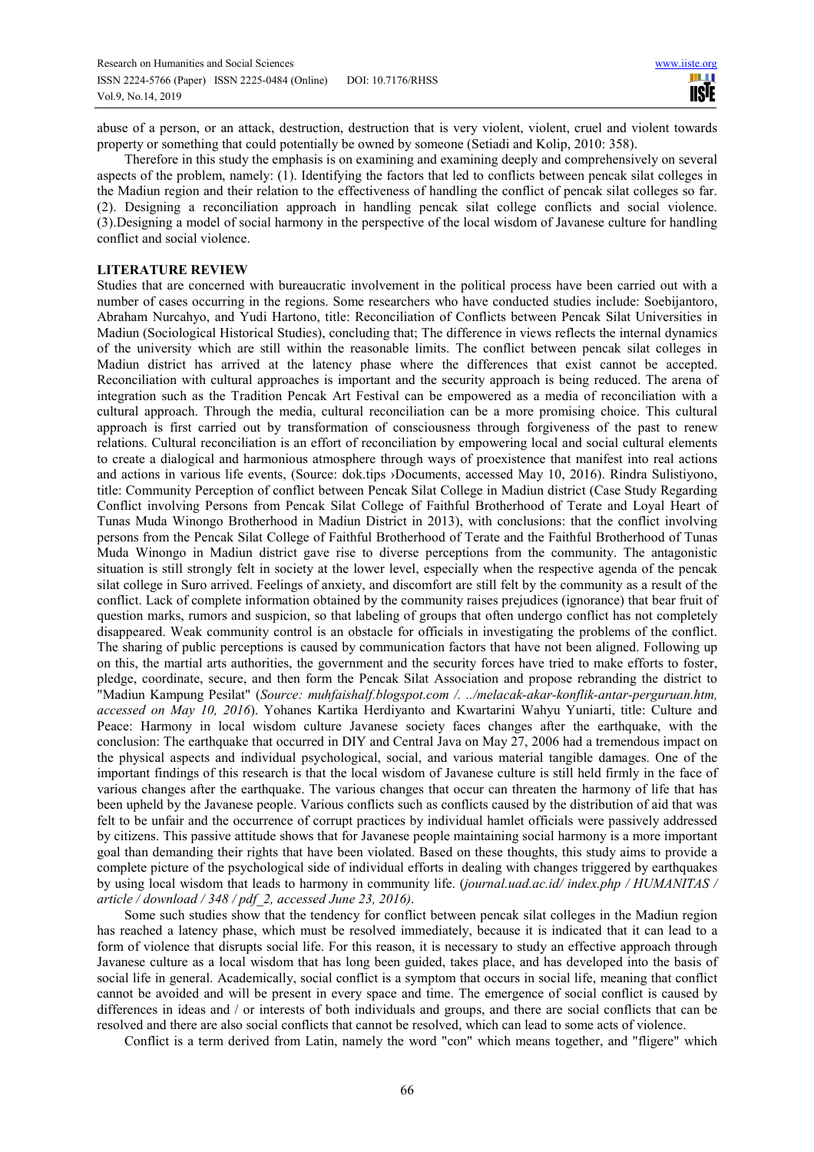abuse of a person, or an attack, destruction, destruction that is very violent, violent, cruel and violent towards property or something that could potentially be owned by someone (Setiadi and Kolip, 2010: 358).

Therefore in this study the emphasis is on examining and examining deeply and comprehensively on several aspects of the problem, namely: (1). Identifying the factors that led to conflicts between pencak silat colleges in the Madiun region and their relation to the effectiveness of handling the conflict of pencak silat colleges so far. (2). Designing a reconciliation approach in handling pencak silat college conflicts and social violence. (3).Designing a model of social harmony in the perspective of the local wisdom of Javanese culture for handling conflict and social violence.

### **LITERATURE REVIEW**

Studies that are concerned with bureaucratic involvement in the political process have been carried out with a number of cases occurring in the regions. Some researchers who have conducted studies include: Soebijantoro, Abraham Nurcahyo, and Yudi Hartono, title: Reconciliation of Conflicts between Pencak Silat Universities in Madiun (Sociological Historical Studies), concluding that; The difference in views reflects the internal dynamics of the university which are still within the reasonable limits. The conflict between pencak silat colleges in Madiun district has arrived at the latency phase where the differences that exist cannot be accepted. Reconciliation with cultural approaches is important and the security approach is being reduced. The arena of integration such as the Tradition Pencak Art Festival can be empowered as a media of reconciliation with a cultural approach. Through the media, cultural reconciliation can be a more promising choice. This cultural approach is first carried out by transformation of consciousness through forgiveness of the past to renew relations. Cultural reconciliation is an effort of reconciliation by empowering local and social cultural elements to create a dialogical and harmonious atmosphere through ways of proexistence that manifest into real actions and actions in various life events, (Source: dok.tips ›Documents, accessed May 10, 2016). Rindra Sulistiyono, title: Community Perception of conflict between Pencak Silat College in Madiun district (Case Study Regarding Conflict involving Persons from Pencak Silat College of Faithful Brotherhood of Terate and Loyal Heart of Tunas Muda Winongo Brotherhood in Madiun District in 2013), with conclusions: that the conflict involving persons from the Pencak Silat College of Faithful Brotherhood of Terate and the Faithful Brotherhood of Tunas Muda Winongo in Madiun district gave rise to diverse perceptions from the community. The antagonistic situation is still strongly felt in society at the lower level, especially when the respective agenda of the pencak silat college in Suro arrived. Feelings of anxiety, and discomfort are still felt by the community as a result of the conflict. Lack of complete information obtained by the community raises prejudices (ignorance) that bear fruit of question marks, rumors and suspicion, so that labeling of groups that often undergo conflict has not completely disappeared. Weak community control is an obstacle for officials in investigating the problems of the conflict. The sharing of public perceptions is caused by communication factors that have not been aligned. Following up on this, the martial arts authorities, the government and the security forces have tried to make efforts to foster, pledge, coordinate, secure, and then form the Pencak Silat Association and propose rebranding the district to "Madiun Kampung Pesilat" (*Source: muhfaishalf.blogspot.com /. ../melacak-akar-konflik-antar-perguruan.htm, accessed on May 10, 2016*). Yohanes Kartika Herdiyanto and Kwartarini Wahyu Yuniarti, title: Culture and Peace: Harmony in local wisdom culture Javanese society faces changes after the earthquake, with the conclusion: The earthquake that occurred in DIY and Central Java on May 27, 2006 had a tremendous impact on the physical aspects and individual psychological, social, and various material tangible damages. One of the important findings of this research is that the local wisdom of Javanese culture is still held firmly in the face of various changes after the earthquake. The various changes that occur can threaten the harmony of life that has been upheld by the Javanese people. Various conflicts such as conflicts caused by the distribution of aid that was felt to be unfair and the occurrence of corrupt practices by individual hamlet officials were passively addressed by citizens. This passive attitude shows that for Javanese people maintaining social harmony is a more important goal than demanding their rights that have been violated. Based on these thoughts, this study aims to provide a complete picture of the psychological side of individual efforts in dealing with changes triggered by earthquakes by using local wisdom that leads to harmony in community life. (*journal.uad.ac.id/ index.php / HUMANITAS / article / download / 348 / pdf\_2, accessed June 23, 2016)*.

Some such studies show that the tendency for conflict between pencak silat colleges in the Madiun region has reached a latency phase, which must be resolved immediately, because it is indicated that it can lead to a form of violence that disrupts social life. For this reason, it is necessary to study an effective approach through Javanese culture as a local wisdom that has long been guided, takes place, and has developed into the basis of social life in general. Academically, social conflict is a symptom that occurs in social life, meaning that conflict cannot be avoided and will be present in every space and time. The emergence of social conflict is caused by differences in ideas and / or interests of both individuals and groups, and there are social conflicts that can be resolved and there are also social conflicts that cannot be resolved, which can lead to some acts of violence.

Conflict is a term derived from Latin, namely the word "con" which means together, and "fligere" which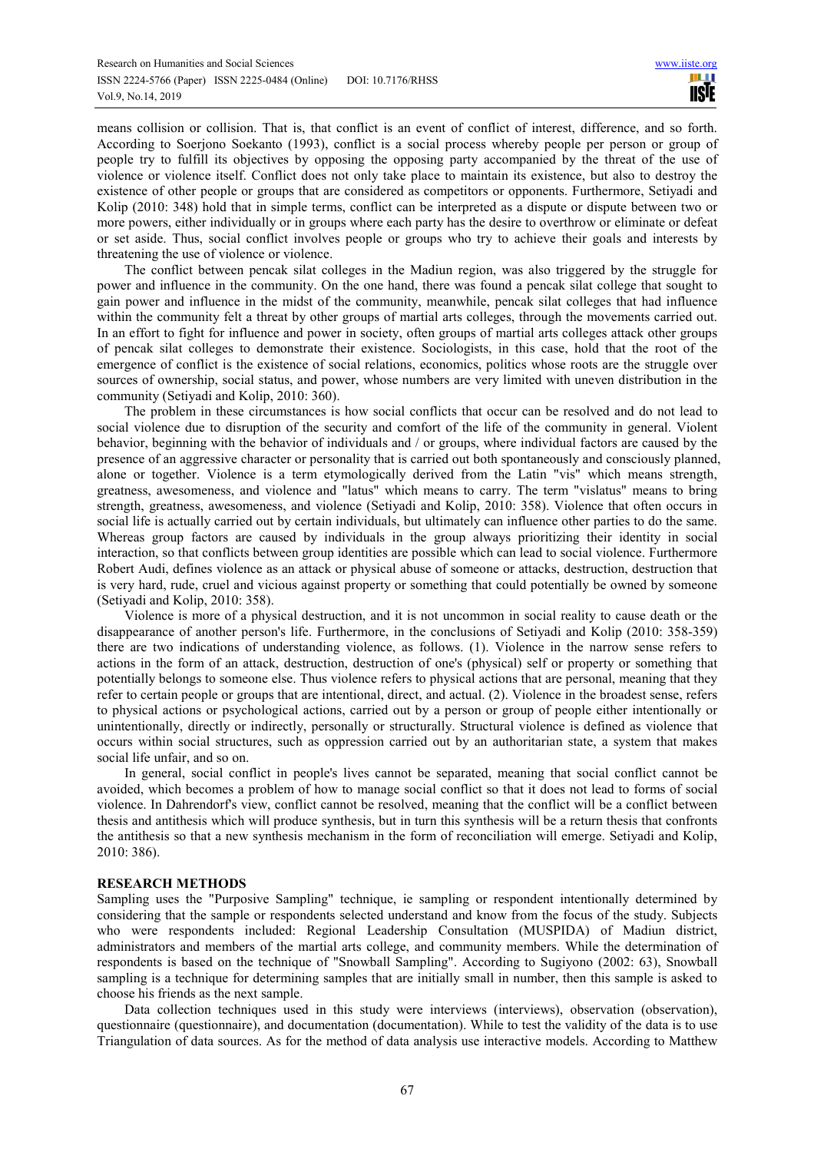means collision or collision. That is, that conflict is an event of conflict of interest, difference, and so forth. According to Soerjono Soekanto (1993), conflict is a social process whereby people per person or group of people try to fulfill its objectives by opposing the opposing party accompanied by the threat of the use of violence or violence itself. Conflict does not only take place to maintain its existence, but also to destroy the existence of other people or groups that are considered as competitors or opponents. Furthermore, Setiyadi and Kolip (2010: 348) hold that in simple terms, conflict can be interpreted as a dispute or dispute between two or more powers, either individually or in groups where each party has the desire to overthrow or eliminate or defeat or set aside. Thus, social conflict involves people or groups who try to achieve their goals and interests by threatening the use of violence or violence.

The conflict between pencak silat colleges in the Madiun region, was also triggered by the struggle for power and influence in the community. On the one hand, there was found a pencak silat college that sought to gain power and influence in the midst of the community, meanwhile, pencak silat colleges that had influence within the community felt a threat by other groups of martial arts colleges, through the movements carried out. In an effort to fight for influence and power in society, often groups of martial arts colleges attack other groups of pencak silat colleges to demonstrate their existence. Sociologists, in this case, hold that the root of the emergence of conflict is the existence of social relations, economics, politics whose roots are the struggle over sources of ownership, social status, and power, whose numbers are very limited with uneven distribution in the community (Setiyadi and Kolip, 2010: 360).

The problem in these circumstances is how social conflicts that occur can be resolved and do not lead to social violence due to disruption of the security and comfort of the life of the community in general. Violent behavior, beginning with the behavior of individuals and / or groups, where individual factors are caused by the presence of an aggressive character or personality that is carried out both spontaneously and consciously planned, alone or together. Violence is a term etymologically derived from the Latin "vis" which means strength, greatness, awesomeness, and violence and "latus" which means to carry. The term "vislatus" means to bring strength, greatness, awesomeness, and violence (Setiyadi and Kolip, 2010: 358). Violence that often occurs in social life is actually carried out by certain individuals, but ultimately can influence other parties to do the same. Whereas group factors are caused by individuals in the group always prioritizing their identity in social interaction, so that conflicts between group identities are possible which can lead to social violence. Furthermore Robert Audi, defines violence as an attack or physical abuse of someone or attacks, destruction, destruction that is very hard, rude, cruel and vicious against property or something that could potentially be owned by someone (Setiyadi and Kolip, 2010: 358).

Violence is more of a physical destruction, and it is not uncommon in social reality to cause death or the disappearance of another person's life. Furthermore, in the conclusions of Setiyadi and Kolip (2010: 358-359) there are two indications of understanding violence, as follows. (1). Violence in the narrow sense refers to actions in the form of an attack, destruction, destruction of one's (physical) self or property or something that potentially belongs to someone else. Thus violence refers to physical actions that are personal, meaning that they refer to certain people or groups that are intentional, direct, and actual. (2). Violence in the broadest sense, refers to physical actions or psychological actions, carried out by a person or group of people either intentionally or unintentionally, directly or indirectly, personally or structurally. Structural violence is defined as violence that occurs within social structures, such as oppression carried out by an authoritarian state, a system that makes social life unfair, and so on.

In general, social conflict in people's lives cannot be separated, meaning that social conflict cannot be avoided, which becomes a problem of how to manage social conflict so that it does not lead to forms of social violence. In Dahrendorf's view, conflict cannot be resolved, meaning that the conflict will be a conflict between thesis and antithesis which will produce synthesis, but in turn this synthesis will be a return thesis that confronts the antithesis so that a new synthesis mechanism in the form of reconciliation will emerge. Setiyadi and Kolip, 2010: 386).

#### **RESEARCH METHODS**

Sampling uses the "Purposive Sampling" technique, ie sampling or respondent intentionally determined by considering that the sample or respondents selected understand and know from the focus of the study. Subjects who were respondents included: Regional Leadership Consultation (MUSPIDA) of Madiun district, administrators and members of the martial arts college, and community members. While the determination of respondents is based on the technique of "Snowball Sampling". According to Sugiyono (2002: 63), Snowball sampling is a technique for determining samples that are initially small in number, then this sample is asked to choose his friends as the next sample.

Data collection techniques used in this study were interviews (interviews), observation (observation), questionnaire (questionnaire), and documentation (documentation). While to test the validity of the data is to use Triangulation of data sources. As for the method of data analysis use interactive models. According to Matthew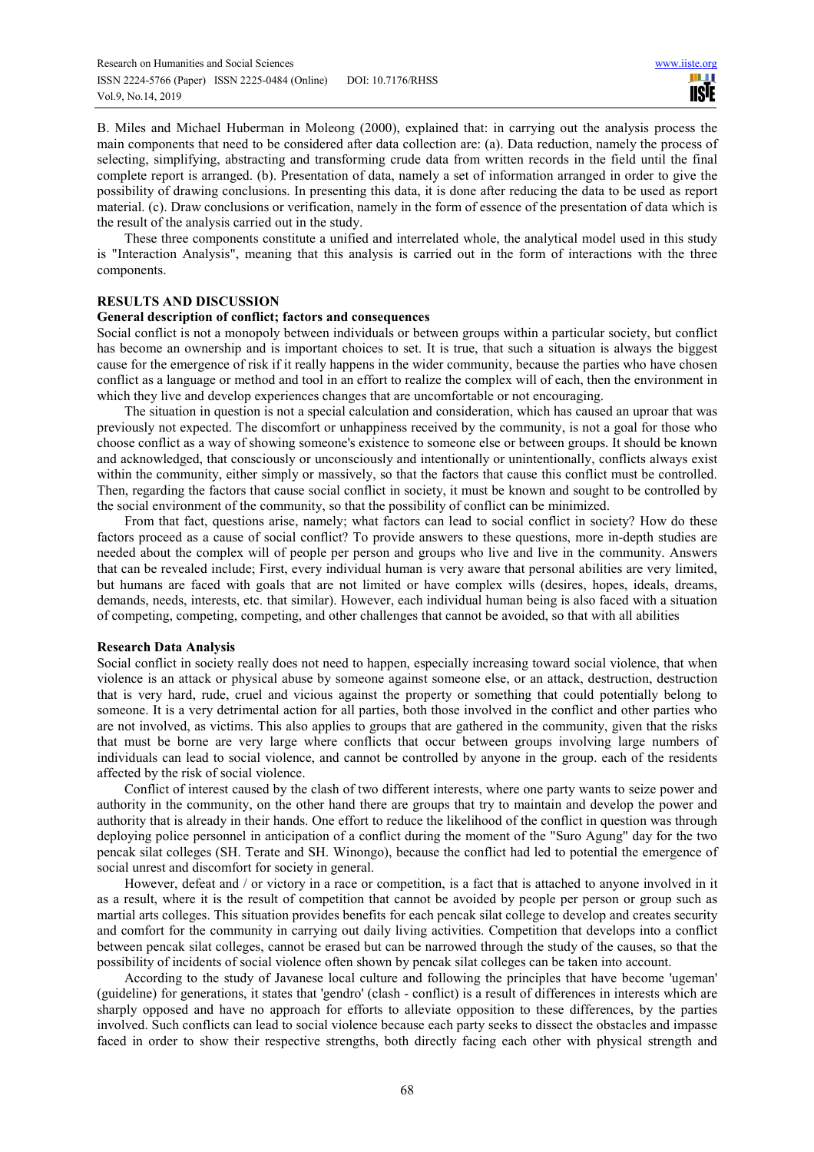B. Miles and Michael Huberman in Moleong (2000), explained that: in carrying out the analysis process the main components that need to be considered after data collection are: (a). Data reduction, namely the process of selecting, simplifying, abstracting and transforming crude data from written records in the field until the final complete report is arranged. (b). Presentation of data, namely a set of information arranged in order to give the possibility of drawing conclusions. In presenting this data, it is done after reducing the data to be used as report material. (c). Draw conclusions or verification, namely in the form of essence of the presentation of data which is the result of the analysis carried out in the study.

These three components constitute a unified and interrelated whole, the analytical model used in this study is "Interaction Analysis", meaning that this analysis is carried out in the form of interactions with the three components.

## **RESULTS AND DISCUSSION**

#### **General description of conflict; factors and consequences**

Social conflict is not a monopoly between individuals or between groups within a particular society, but conflict has become an ownership and is important choices to set. It is true, that such a situation is always the biggest cause for the emergence of risk if it really happens in the wider community, because the parties who have chosen conflict as a language or method and tool in an effort to realize the complex will of each, then the environment in which they live and develop experiences changes that are uncomfortable or not encouraging.

The situation in question is not a special calculation and consideration, which has caused an uproar that was previously not expected. The discomfort or unhappiness received by the community, is not a goal for those who choose conflict as a way of showing someone's existence to someone else or between groups. It should be known and acknowledged, that consciously or unconsciously and intentionally or unintentionally, conflicts always exist within the community, either simply or massively, so that the factors that cause this conflict must be controlled. Then, regarding the factors that cause social conflict in society, it must be known and sought to be controlled by the social environment of the community, so that the possibility of conflict can be minimized.

From that fact, questions arise, namely; what factors can lead to social conflict in society? How do these factors proceed as a cause of social conflict? To provide answers to these questions, more in-depth studies are needed about the complex will of people per person and groups who live and live in the community. Answers that can be revealed include; First, every individual human is very aware that personal abilities are very limited, but humans are faced with goals that are not limited or have complex wills (desires, hopes, ideals, dreams, demands, needs, interests, etc. that similar). However, each individual human being is also faced with a situation of competing, competing, competing, and other challenges that cannot be avoided, so that with all abilities

#### **Research Data Analysis**

Social conflict in society really does not need to happen, especially increasing toward social violence, that when violence is an attack or physical abuse by someone against someone else, or an attack, destruction, destruction that is very hard, rude, cruel and vicious against the property or something that could potentially belong to someone. It is a very detrimental action for all parties, both those involved in the conflict and other parties who are not involved, as victims. This also applies to groups that are gathered in the community, given that the risks that must be borne are very large where conflicts that occur between groups involving large numbers of individuals can lead to social violence, and cannot be controlled by anyone in the group. each of the residents affected by the risk of social violence.

Conflict of interest caused by the clash of two different interests, where one party wants to seize power and authority in the community, on the other hand there are groups that try to maintain and develop the power and authority that is already in their hands. One effort to reduce the likelihood of the conflict in question was through deploying police personnel in anticipation of a conflict during the moment of the "Suro Agung" day for the two pencak silat colleges (SH. Terate and SH. Winongo), because the conflict had led to potential the emergence of social unrest and discomfort for society in general.

However, defeat and / or victory in a race or competition, is a fact that is attached to anyone involved in it as a result, where it is the result of competition that cannot be avoided by people per person or group such as martial arts colleges. This situation provides benefits for each pencak silat college to develop and creates security and comfort for the community in carrying out daily living activities. Competition that develops into a conflict between pencak silat colleges, cannot be erased but can be narrowed through the study of the causes, so that the possibility of incidents of social violence often shown by pencak silat colleges can be taken into account.

According to the study of Javanese local culture and following the principles that have become 'ugeman' (guideline) for generations, it states that 'gendro' (clash - conflict) is a result of differences in interests which are sharply opposed and have no approach for efforts to alleviate opposition to these differences, by the parties involved. Such conflicts can lead to social violence because each party seeks to dissect the obstacles and impasse faced in order to show their respective strengths, both directly facing each other with physical strength and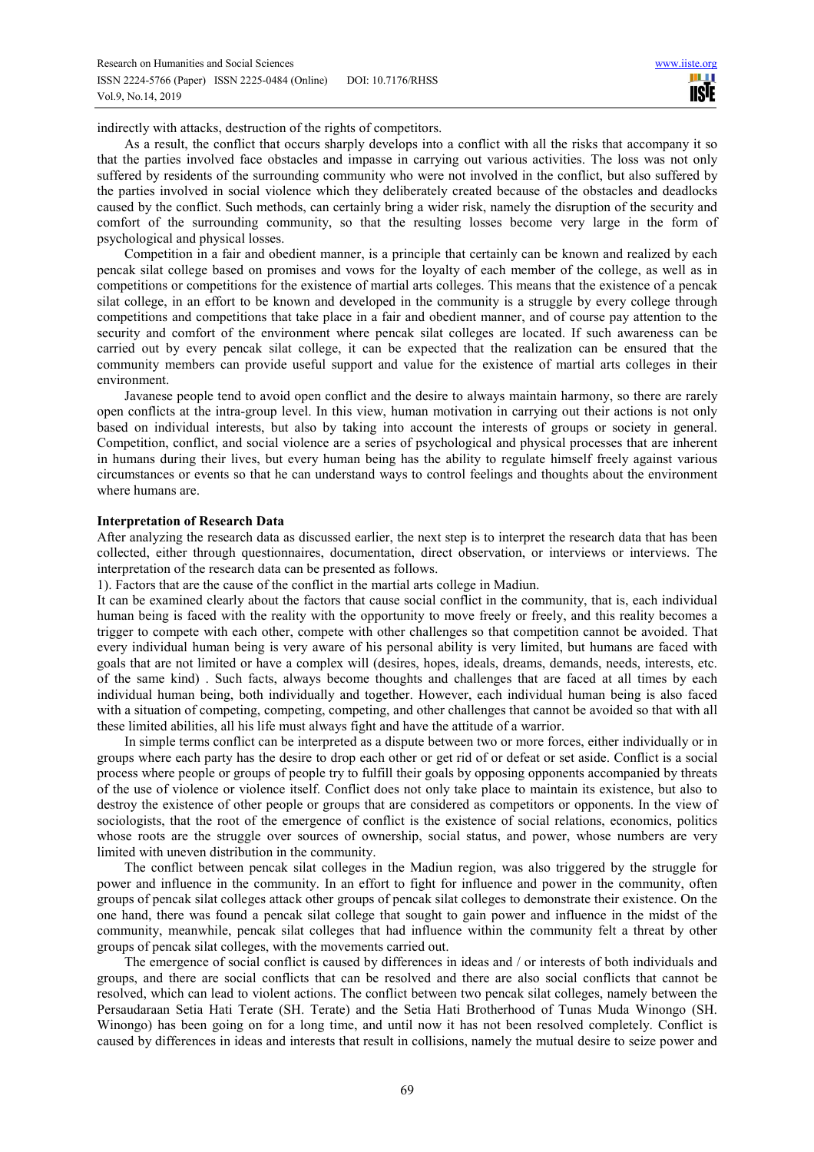indirectly with attacks, destruction of the rights of competitors.

As a result, the conflict that occurs sharply develops into a conflict with all the risks that accompany it so that the parties involved face obstacles and impasse in carrying out various activities. The loss was not only suffered by residents of the surrounding community who were not involved in the conflict, but also suffered by the parties involved in social violence which they deliberately created because of the obstacles and deadlocks caused by the conflict. Such methods, can certainly bring a wider risk, namely the disruption of the security and comfort of the surrounding community, so that the resulting losses become very large in the form of psychological and physical losses.

Competition in a fair and obedient manner, is a principle that certainly can be known and realized by each pencak silat college based on promises and vows for the loyalty of each member of the college, as well as in competitions or competitions for the existence of martial arts colleges. This means that the existence of a pencak silat college, in an effort to be known and developed in the community is a struggle by every college through competitions and competitions that take place in a fair and obedient manner, and of course pay attention to the security and comfort of the environment where pencak silat colleges are located. If such awareness can be carried out by every pencak silat college, it can be expected that the realization can be ensured that the community members can provide useful support and value for the existence of martial arts colleges in their environment.

Javanese people tend to avoid open conflict and the desire to always maintain harmony, so there are rarely open conflicts at the intra-group level. In this view, human motivation in carrying out their actions is not only based on individual interests, but also by taking into account the interests of groups or society in general. Competition, conflict, and social violence are a series of psychological and physical processes that are inherent in humans during their lives, but every human being has the ability to regulate himself freely against various circumstances or events so that he can understand ways to control feelings and thoughts about the environment where humans are.

#### **Interpretation of Research Data**

After analyzing the research data as discussed earlier, the next step is to interpret the research data that has been collected, either through questionnaires, documentation, direct observation, or interviews or interviews. The interpretation of the research data can be presented as follows.

1). Factors that are the cause of the conflict in the martial arts college in Madiun.

It can be examined clearly about the factors that cause social conflict in the community, that is, each individual human being is faced with the reality with the opportunity to move freely or freely, and this reality becomes a trigger to compete with each other, compete with other challenges so that competition cannot be avoided. That every individual human being is very aware of his personal ability is very limited, but humans are faced with goals that are not limited or have a complex will (desires, hopes, ideals, dreams, demands, needs, interests, etc. of the same kind) . Such facts, always become thoughts and challenges that are faced at all times by each individual human being, both individually and together. However, each individual human being is also faced with a situation of competing, competing, competing, and other challenges that cannot be avoided so that with all these limited abilities, all his life must always fight and have the attitude of a warrior.

In simple terms conflict can be interpreted as a dispute between two or more forces, either individually or in groups where each party has the desire to drop each other or get rid of or defeat or set aside. Conflict is a social process where people or groups of people try to fulfill their goals by opposing opponents accompanied by threats of the use of violence or violence itself. Conflict does not only take place to maintain its existence, but also to destroy the existence of other people or groups that are considered as competitors or opponents. In the view of sociologists, that the root of the emergence of conflict is the existence of social relations, economics, politics whose roots are the struggle over sources of ownership, social status, and power, whose numbers are very limited with uneven distribution in the community.

The conflict between pencak silat colleges in the Madiun region, was also triggered by the struggle for power and influence in the community. In an effort to fight for influence and power in the community, often groups of pencak silat colleges attack other groups of pencak silat colleges to demonstrate their existence. On the one hand, there was found a pencak silat college that sought to gain power and influence in the midst of the community, meanwhile, pencak silat colleges that had influence within the community felt a threat by other groups of pencak silat colleges, with the movements carried out.

The emergence of social conflict is caused by differences in ideas and / or interests of both individuals and groups, and there are social conflicts that can be resolved and there are also social conflicts that cannot be resolved, which can lead to violent actions. The conflict between two pencak silat colleges, namely between the Persaudaraan Setia Hati Terate (SH. Terate) and the Setia Hati Brotherhood of Tunas Muda Winongo (SH. Winongo) has been going on for a long time, and until now it has not been resolved completely. Conflict is caused by differences in ideas and interests that result in collisions, namely the mutual desire to seize power and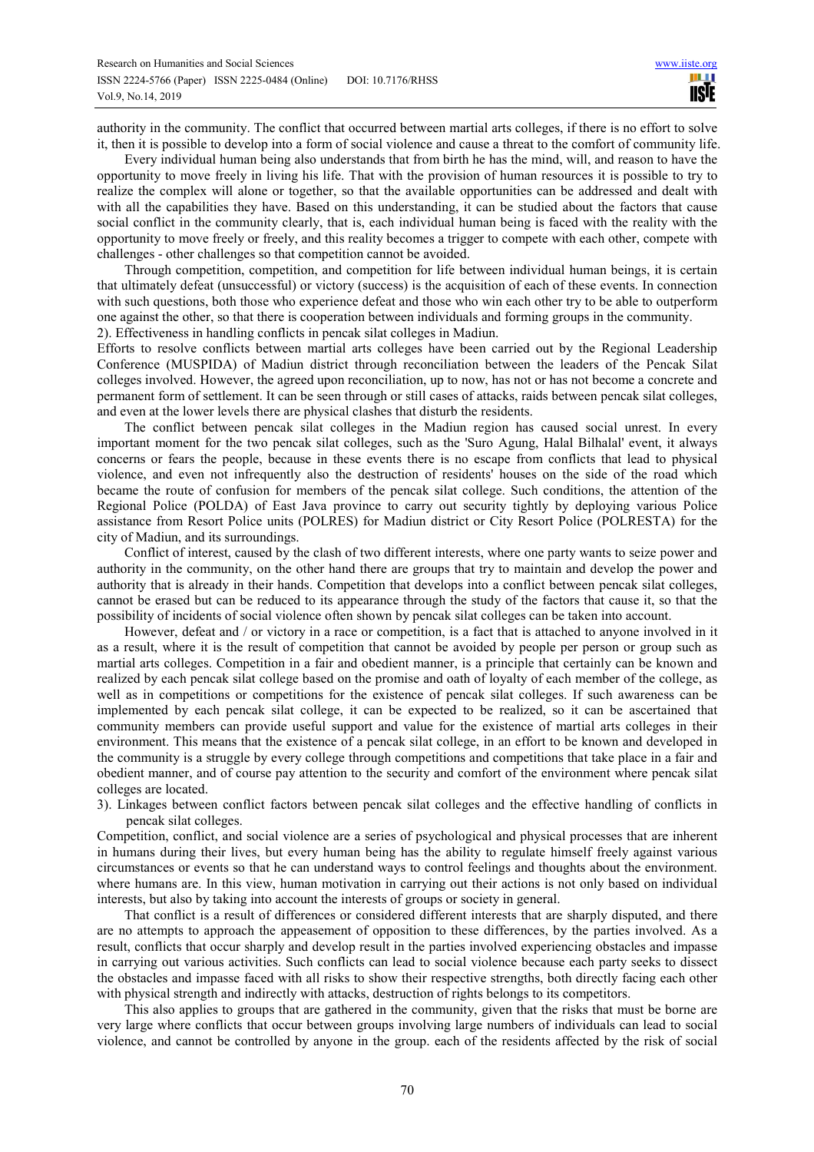authority in the community. The conflict that occurred between martial arts colleges, if there is no effort to solve it, then it is possible to develop into a form of social violence and cause a threat to the comfort of community life.

Every individual human being also understands that from birth he has the mind, will, and reason to have the opportunity to move freely in living his life. That with the provision of human resources it is possible to try to realize the complex will alone or together, so that the available opportunities can be addressed and dealt with with all the capabilities they have. Based on this understanding, it can be studied about the factors that cause social conflict in the community clearly, that is, each individual human being is faced with the reality with the opportunity to move freely or freely, and this reality becomes a trigger to compete with each other, compete with challenges - other challenges so that competition cannot be avoided.

Through competition, competition, and competition for life between individual human beings, it is certain that ultimately defeat (unsuccessful) or victory (success) is the acquisition of each of these events. In connection with such questions, both those who experience defeat and those who win each other try to be able to outperform one against the other, so that there is cooperation between individuals and forming groups in the community. 2). Effectiveness in handling conflicts in pencak silat colleges in Madiun.

Efforts to resolve conflicts between martial arts colleges have been carried out by the Regional Leadership Conference (MUSPIDA) of Madiun district through reconciliation between the leaders of the Pencak Silat colleges involved. However, the agreed upon reconciliation, up to now, has not or has not become a concrete and permanent form of settlement. It can be seen through or still cases of attacks, raids between pencak silat colleges, and even at the lower levels there are physical clashes that disturb the residents.

The conflict between pencak silat colleges in the Madiun region has caused social unrest. In every important moment for the two pencak silat colleges, such as the 'Suro Agung, Halal Bilhalal' event, it always concerns or fears the people, because in these events there is no escape from conflicts that lead to physical violence, and even not infrequently also the destruction of residents' houses on the side of the road which became the route of confusion for members of the pencak silat college. Such conditions, the attention of the Regional Police (POLDA) of East Java province to carry out security tightly by deploying various Police assistance from Resort Police units (POLRES) for Madiun district or City Resort Police (POLRESTA) for the city of Madiun, and its surroundings.

Conflict of interest, caused by the clash of two different interests, where one party wants to seize power and authority in the community, on the other hand there are groups that try to maintain and develop the power and authority that is already in their hands. Competition that develops into a conflict between pencak silat colleges, cannot be erased but can be reduced to its appearance through the study of the factors that cause it, so that the possibility of incidents of social violence often shown by pencak silat colleges can be taken into account.

However, defeat and / or victory in a race or competition, is a fact that is attached to anyone involved in it as a result, where it is the result of competition that cannot be avoided by people per person or group such as martial arts colleges. Competition in a fair and obedient manner, is a principle that certainly can be known and realized by each pencak silat college based on the promise and oath of loyalty of each member of the college, as well as in competitions or competitions for the existence of pencak silat colleges. If such awareness can be implemented by each pencak silat college, it can be expected to be realized, so it can be ascertained that community members can provide useful support and value for the existence of martial arts colleges in their environment. This means that the existence of a pencak silat college, in an effort to be known and developed in the community is a struggle by every college through competitions and competitions that take place in a fair and obedient manner, and of course pay attention to the security and comfort of the environment where pencak silat colleges are located.

3). Linkages between conflict factors between pencak silat colleges and the effective handling of conflicts in pencak silat colleges.

Competition, conflict, and social violence are a series of psychological and physical processes that are inherent in humans during their lives, but every human being has the ability to regulate himself freely against various circumstances or events so that he can understand ways to control feelings and thoughts about the environment. where humans are. In this view, human motivation in carrying out their actions is not only based on individual interests, but also by taking into account the interests of groups or society in general.

That conflict is a result of differences or considered different interests that are sharply disputed, and there are no attempts to approach the appeasement of opposition to these differences, by the parties involved. As a result, conflicts that occur sharply and develop result in the parties involved experiencing obstacles and impasse in carrying out various activities. Such conflicts can lead to social violence because each party seeks to dissect the obstacles and impasse faced with all risks to show their respective strengths, both directly facing each other with physical strength and indirectly with attacks, destruction of rights belongs to its competitors.

This also applies to groups that are gathered in the community, given that the risks that must be borne are very large where conflicts that occur between groups involving large numbers of individuals can lead to social violence, and cannot be controlled by anyone in the group. each of the residents affected by the risk of social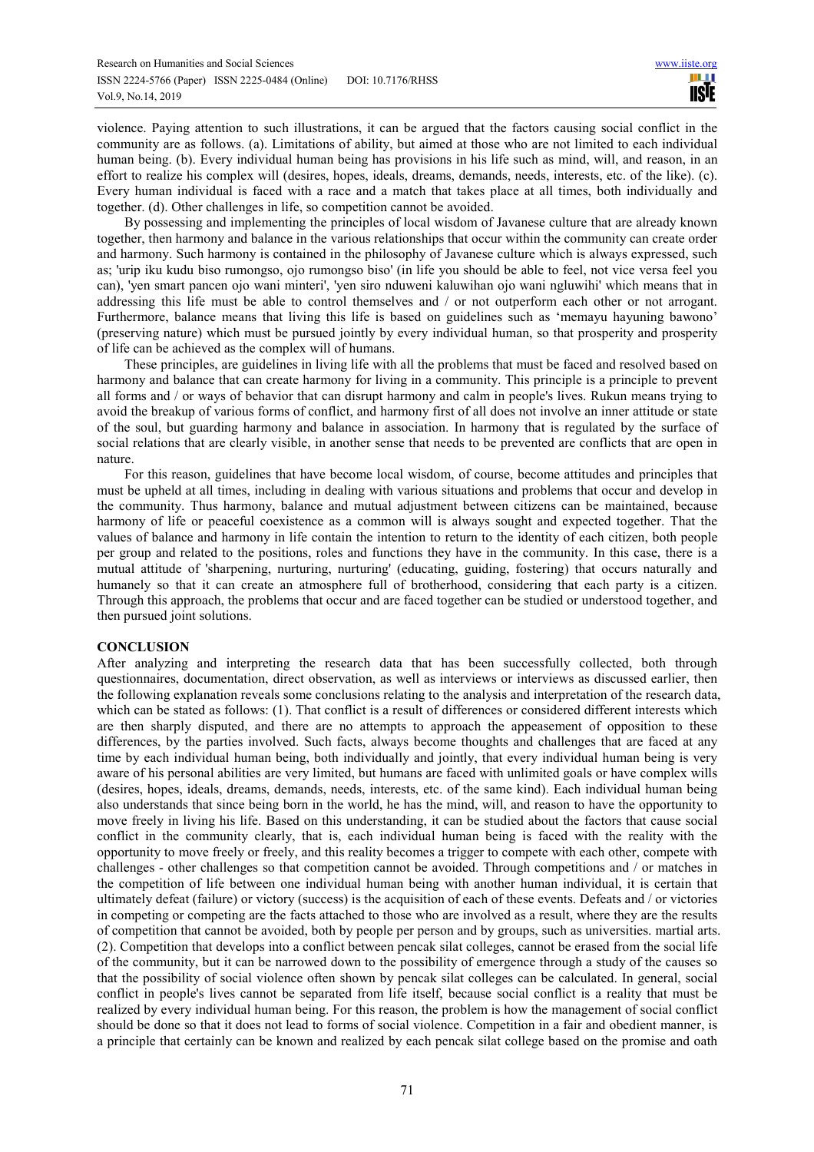violence. Paying attention to such illustrations, it can be argued that the factors causing social conflict in the community are as follows. (a). Limitations of ability, but aimed at those who are not limited to each individual human being. (b). Every individual human being has provisions in his life such as mind, will, and reason, in an effort to realize his complex will (desires, hopes, ideals, dreams, demands, needs, interests, etc. of the like). (c). Every human individual is faced with a race and a match that takes place at all times, both individually and together. (d). Other challenges in life, so competition cannot be avoided.

By possessing and implementing the principles of local wisdom of Javanese culture that are already known together, then harmony and balance in the various relationships that occur within the community can create order and harmony. Such harmony is contained in the philosophy of Javanese culture which is always expressed, such as; 'urip iku kudu biso rumongso, ojo rumongso biso' (in life you should be able to feel, not vice versa feel you can), 'yen smart pancen ojo wani minteri', 'yen siro nduweni kaluwihan ojo wani ngluwihi' which means that in addressing this life must be able to control themselves and / or not outperform each other or not arrogant. Furthermore, balance means that living this life is based on guidelines such as 'memayu hayuning bawono' (preserving nature) which must be pursued jointly by every individual human, so that prosperity and prosperity of life can be achieved as the complex will of humans.

These principles, are guidelines in living life with all the problems that must be faced and resolved based on harmony and balance that can create harmony for living in a community. This principle is a principle to prevent all forms and / or ways of behavior that can disrupt harmony and calm in people's lives. Rukun means trying to avoid the breakup of various forms of conflict, and harmony first of all does not involve an inner attitude or state of the soul, but guarding harmony and balance in association. In harmony that is regulated by the surface of social relations that are clearly visible, in another sense that needs to be prevented are conflicts that are open in nature.

For this reason, guidelines that have become local wisdom, of course, become attitudes and principles that must be upheld at all times, including in dealing with various situations and problems that occur and develop in the community. Thus harmony, balance and mutual adjustment between citizens can be maintained, because harmony of life or peaceful coexistence as a common will is always sought and expected together. That the values of balance and harmony in life contain the intention to return to the identity of each citizen, both people per group and related to the positions, roles and functions they have in the community. In this case, there is a mutual attitude of 'sharpening, nurturing, nurturing' (educating, guiding, fostering) that occurs naturally and humanely so that it can create an atmosphere full of brotherhood, considering that each party is a citizen. Through this approach, the problems that occur and are faced together can be studied or understood together, and then pursued joint solutions.

# **CONCLUSION**

After analyzing and interpreting the research data that has been successfully collected, both through questionnaires, documentation, direct observation, as well as interviews or interviews as discussed earlier, then the following explanation reveals some conclusions relating to the analysis and interpretation of the research data, which can be stated as follows: (1). That conflict is a result of differences or considered different interests which are then sharply disputed, and there are no attempts to approach the appeasement of opposition to these differences, by the parties involved. Such facts, always become thoughts and challenges that are faced at any time by each individual human being, both individually and jointly, that every individual human being is very aware of his personal abilities are very limited, but humans are faced with unlimited goals or have complex wills (desires, hopes, ideals, dreams, demands, needs, interests, etc. of the same kind). Each individual human being also understands that since being born in the world, he has the mind, will, and reason to have the opportunity to move freely in living his life. Based on this understanding, it can be studied about the factors that cause social conflict in the community clearly, that is, each individual human being is faced with the reality with the opportunity to move freely or freely, and this reality becomes a trigger to compete with each other, compete with challenges - other challenges so that competition cannot be avoided. Through competitions and / or matches in the competition of life between one individual human being with another human individual, it is certain that ultimately defeat (failure) or victory (success) is the acquisition of each of these events. Defeats and / or victories in competing or competing are the facts attached to those who are involved as a result, where they are the results of competition that cannot be avoided, both by people per person and by groups, such as universities. martial arts. (2). Competition that develops into a conflict between pencak silat colleges, cannot be erased from the social life of the community, but it can be narrowed down to the possibility of emergence through a study of the causes so that the possibility of social violence often shown by pencak silat colleges can be calculated. In general, social conflict in people's lives cannot be separated from life itself, because social conflict is a reality that must be realized by every individual human being. For this reason, the problem is how the management of social conflict should be done so that it does not lead to forms of social violence. Competition in a fair and obedient manner, is a principle that certainly can be known and realized by each pencak silat college based on the promise and oath